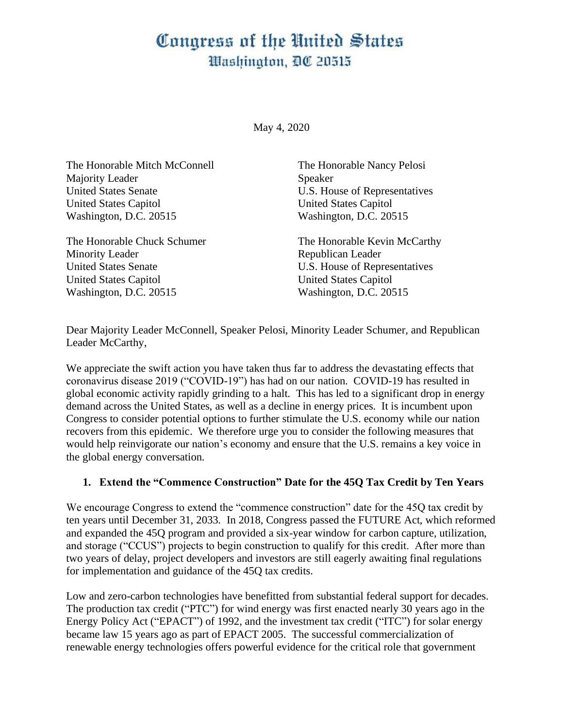# Congress of the United States Washington, DC 20515

May 4, 2020

| The Honorable Mitch McConnell | The Honorable Nancy Pelosi    |
|-------------------------------|-------------------------------|
| Majority Leader               | Speaker                       |
| <b>United States Senate</b>   | U.S. House of Representatives |
| <b>United States Capitol</b>  | <b>United States Capitol</b>  |
| Washington, D.C. 20515        | Washington, D.C. 20515        |
| The Honorable Chuck Schumer   | The Honorable Kevin McCarthy  |
| <b>Minority Leader</b>        | Republican Leader             |
| <b>United States Senate</b>   | U.S. House of Representatives |
| <b>United States Capitol</b>  | <b>United States Capitol</b>  |
| Washington, D.C. 20515        | Washington, D.C. 20515        |

Dear Majority Leader McConnell, Speaker Pelosi, Minority Leader Schumer, and Republican Leader McCarthy,

We appreciate the swift action you have taken thus far to address the devastating effects that coronavirus disease 2019 ("COVID-19") has had on our nation. COVID-19 has resulted in global economic activity rapidly grinding to a halt. This has led to a significant drop in energy demand across the United States, as well as a decline in energy prices. It is incumbent upon Congress to consider potential options to further stimulate the U.S. economy while our nation recovers from this epidemic. We therefore urge you to consider the following measures that would help reinvigorate our nation's economy and ensure that the U.S. remains a key voice in the global energy conversation.

#### **1. Extend the "Commence Construction" Date for the 45Q Tax Credit by Ten Years**

We encourage Congress to extend the "commence construction" date for the 45Q tax credit by ten years until December 31, 2033. In 2018, Congress passed the FUTURE Act, which reformed and expanded the 45Q program and provided a six-year window for carbon capture, utilization, and storage ("CCUS") projects to begin construction to qualify for this credit. After more than two years of delay, project developers and investors are still eagerly awaiting final regulations for implementation and guidance of the 45Q tax credits.

Low and zero-carbon technologies have benefitted from substantial federal support for decades. The production tax credit ("PTC") for wind energy was first enacted nearly 30 years ago in the Energy Policy Act ("EPACT") of 1992, and the investment tax credit ("ITC") for solar energy became law 15 years ago as part of EPACT 2005. The successful commercialization of renewable energy technologies offers powerful evidence for the critical role that government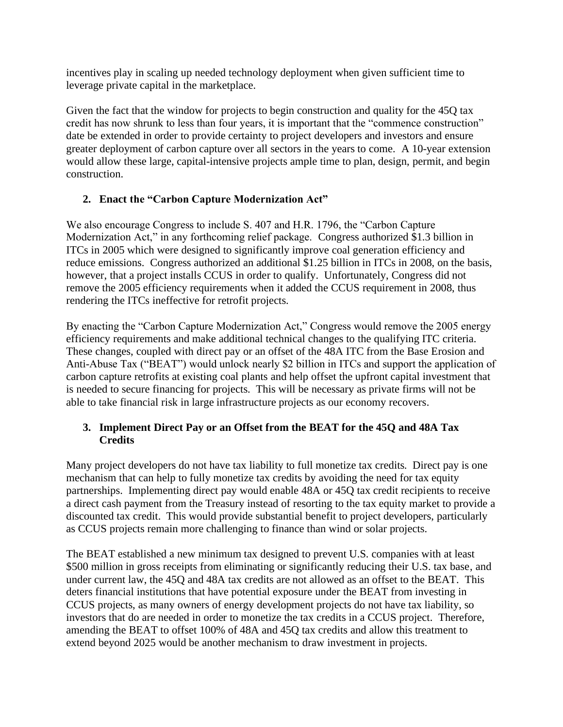incentives play in scaling up needed technology deployment when given sufficient time to leverage private capital in the marketplace.

Given the fact that the window for projects to begin construction and quality for the 45Q tax credit has now shrunk to less than four years, it is important that the "commence construction" date be extended in order to provide certainty to project developers and investors and ensure greater deployment of carbon capture over all sectors in the years to come. A 10-year extension would allow these large, capital-intensive projects ample time to plan, design, permit, and begin construction.

## **2. Enact the "Carbon Capture Modernization Act"**

We also encourage Congress to include S. 407 and H.R. 1796, the "Carbon Capture Modernization Act," in any forthcoming relief package. Congress authorized \$1.3 billion in ITCs in 2005 which were designed to significantly improve coal generation efficiency and reduce emissions. Congress authorized an additional \$1.25 billion in ITCs in 2008, on the basis, however, that a project installs CCUS in order to qualify. Unfortunately, Congress did not remove the 2005 efficiency requirements when it added the CCUS requirement in 2008, thus rendering the ITCs ineffective for retrofit projects.

By enacting the "Carbon Capture Modernization Act," Congress would remove the 2005 energy efficiency requirements and make additional technical changes to the qualifying ITC criteria. These changes, coupled with direct pay or an offset of the 48A ITC from the Base Erosion and Anti-Abuse Tax ("BEAT") would unlock nearly \$2 billion in ITCs and support the application of carbon capture retrofits at existing coal plants and help offset the upfront capital investment that is needed to secure financing for projects. This will be necessary as private firms will not be able to take financial risk in large infrastructure projects as our economy recovers.

#### **3. Implement Direct Pay or an Offset from the BEAT for the 45Q and 48A Tax Credits**

Many project developers do not have tax liability to full monetize tax credits. Direct pay is one mechanism that can help to fully monetize tax credits by avoiding the need for tax equity partnerships. Implementing direct pay would enable 48A or 45Q tax credit recipients to receive a direct cash payment from the Treasury instead of resorting to the tax equity market to provide a discounted tax credit. This would provide substantial benefit to project developers, particularly as CCUS projects remain more challenging to finance than wind or solar projects.

The BEAT established a new minimum tax designed to prevent U.S. companies with at least \$500 million in gross receipts from eliminating or significantly reducing their U.S. tax base, and under current law, the 45Q and 48A tax credits are not allowed as an offset to the BEAT. This deters financial institutions that have potential exposure under the BEAT from investing in CCUS projects, as many owners of energy development projects do not have tax liability, so investors that do are needed in order to monetize the tax credits in a CCUS project. Therefore, amending the BEAT to offset 100% of 48A and 45Q tax credits and allow this treatment to extend beyond 2025 would be another mechanism to draw investment in projects.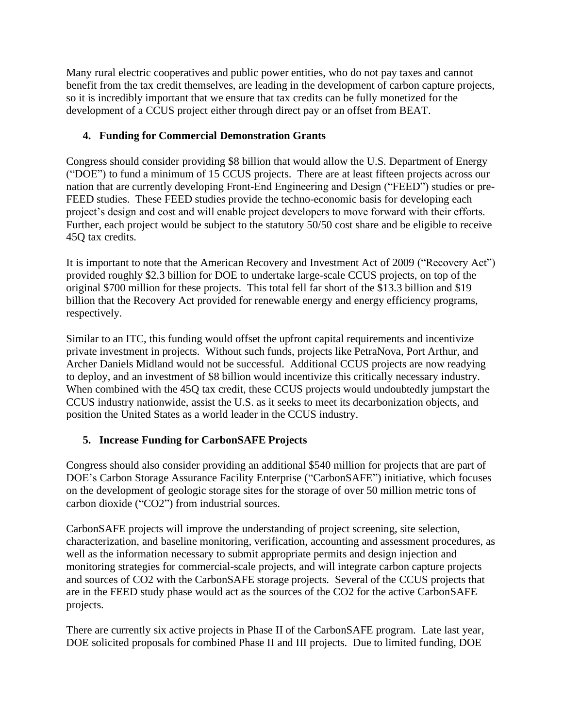Many rural electric cooperatives and public power entities, who do not pay taxes and cannot benefit from the tax credit themselves, are leading in the development of carbon capture projects, so it is incredibly important that we ensure that tax credits can be fully monetized for the development of a CCUS project either through direct pay or an offset from BEAT.

## **4. Funding for Commercial Demonstration Grants**

Congress should consider providing \$8 billion that would allow the U.S. Department of Energy ("DOE") to fund a minimum of 15 CCUS projects. There are at least fifteen projects across our nation that are currently developing Front-End Engineering and Design ("FEED") studies or pre-FEED studies. These FEED studies provide the techno-economic basis for developing each project's design and cost and will enable project developers to move forward with their efforts. Further, each project would be subject to the statutory 50/50 cost share and be eligible to receive 45Q tax credits.

It is important to note that the American Recovery and Investment Act of 2009 ("Recovery Act") provided roughly \$2.3 billion for DOE to undertake large-scale CCUS projects, on top of the original \$700 million for these projects. This total fell far short of the \$13.3 billion and \$19 billion that the Recovery Act provided for renewable energy and energy efficiency programs, respectively.

Similar to an ITC, this funding would offset the upfront capital requirements and incentivize private investment in projects. Without such funds, projects like PetraNova, Port Arthur, and Archer Daniels Midland would not be successful. Additional CCUS projects are now readying to deploy, and an investment of \$8 billion would incentivize this critically necessary industry. When combined with the 45Q tax credit, these CCUS projects would undoubtedly jumpstart the CCUS industry nationwide, assist the U.S. as it seeks to meet its decarbonization objects, and position the United States as a world leader in the CCUS industry.

# **5. Increase Funding for CarbonSAFE Projects**

Congress should also consider providing an additional \$540 million for projects that are part of DOE's Carbon Storage Assurance Facility Enterprise ("CarbonSAFE") initiative, which focuses on the development of geologic storage sites for the storage of over 50 million metric tons of carbon dioxide ("CO2") from industrial sources.

CarbonSAFE projects will improve the understanding of project screening, site selection, characterization, and baseline monitoring, verification, accounting and assessment procedures, as well as the information necessary to submit appropriate permits and design injection and monitoring strategies for commercial-scale projects, and will integrate carbon capture projects and sources of CO2 with the CarbonSAFE storage projects. Several of the CCUS projects that are in the FEED study phase would act as the sources of the CO2 for the active CarbonSAFE projects.

There are currently six active projects in Phase II of the CarbonSAFE program. Late last year, DOE solicited proposals for combined Phase II and III projects. Due to limited funding, DOE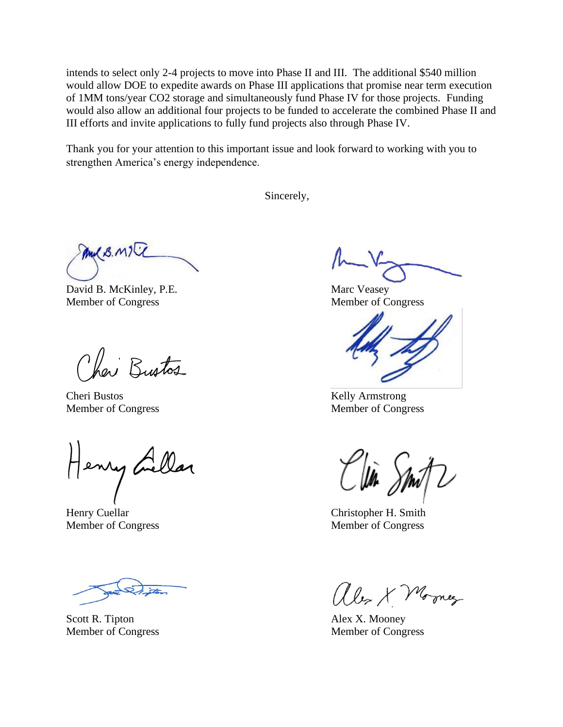intends to select only 2-4 projects to move into Phase II and III. The additional \$540 million would allow DOE to expedite awards on Phase III applications that promise near term execution of 1MM tons/year CO2 storage and simultaneously fund Phase IV for those projects. Funding would also allow an additional four projects to be funded to accelerate the combined Phase II and III efforts and invite applications to fully fund projects also through Phase IV.

Thank you for your attention to this important issue and look forward to working with you to strengthen America's energy independence.

Sincerely,

MUB. MIT

David B. McKinley, P.E. Marc Veasey Member of Congress Member of Congress

Chai Bustos

Cheri Bustos Kelly Armstrong Member of Congress Member of Congress

Henry Gellar

) ita

Scott R. Tipton Alex X. Mooney

Henry Cuellar Christopher H. Smith Member of Congress Member of Congress

alex X Morney

Member of Congress Member of Congress